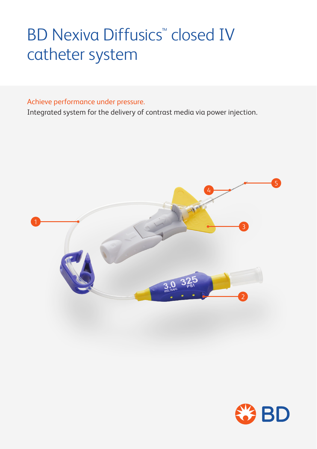# **BD Nexiva Diffusics<sup>™</sup> closed IV** catheter system

### Achieve performance under pressure.

Integrated system for the delivery of contrast media via power injection.